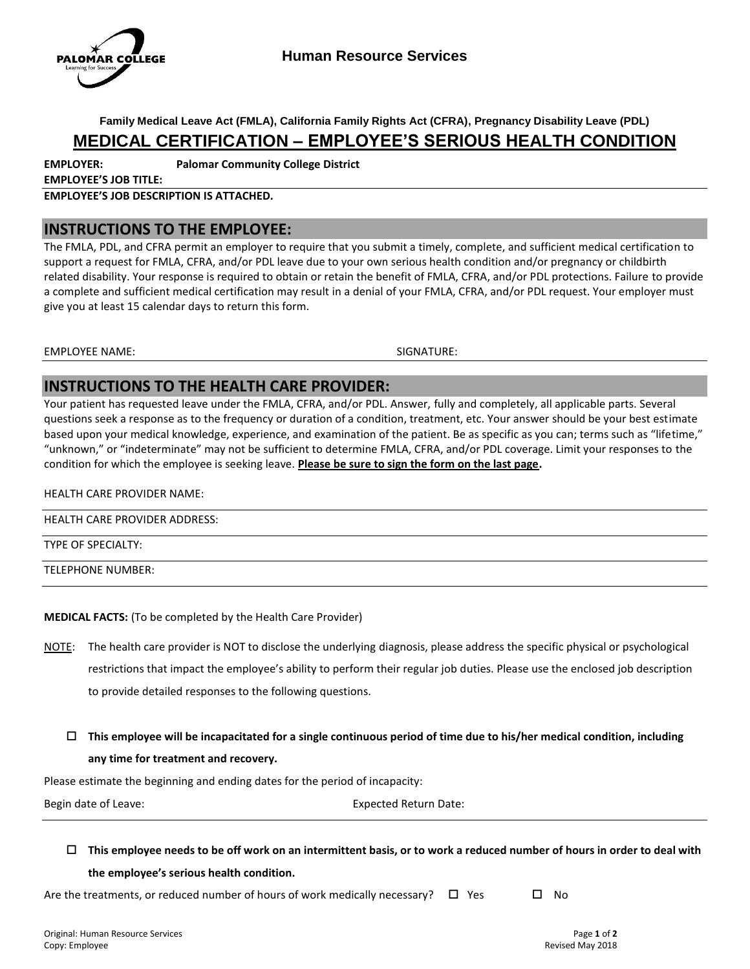

**Family Medical Leave Act (FMLA), California Family Rights Act (CFRA), Pregnancy Disability Leave (PDL)**

# **MEDICAL CERTIFICATION – EMPLOYEE'S SERIOUS HEALTH CONDITION**

**EMPLOYER: Palomar Community College District**

**EMPLOYEE'S JOB TITLE:**

**EMPLOYEE'S JOB DESCRIPTION IS ATTACHED.**

### **INSTRUCTIONS TO THE EMPLOYEE:**

The FMLA, PDL, and CFRA permit an employer to require that you submit a timely, complete, and sufficient medical certification to support a request for FMLA, CFRA, and/or PDL leave due to your own serious health condition and/or pregnancy or childbirth related disability. Your response is required to obtain or retain the benefit of FMLA, CFRA, and/or PDL protections. Failure to provide a complete and sufficient medical certification may result in a denial of your FMLA, CFRA, and/or PDL request. Your employer must give you at least 15 calendar days to return this form.

EMPLOYEE NAME: SIGNATURE:

## **INSTRUCTIONS TO THE HEALTH CARE PROVIDER:**

Your patient has requested leave under the FMLA, CFRA, and/or PDL. Answer, fully and completely, all applicable parts. Several questions seek a response as to the frequency or duration of a condition, treatment, etc. Your answer should be your best estimate based upon your medical knowledge, experience, and examination of the patient. Be as specific as you can; terms such as "lifetime," "unknown," or "indeterminate" may not be sufficient to determine FMLA, CFRA, and/or PDL coverage. Limit your responses to the condition for which the employee is seeking leave. **Please be sure to sign the form on the last page.**

#### HEALTH CARE PROVIDER NAME:

HEALTH CARE PROVIDER ADDRESS:

#### TYPE OF SPECIALTY:

TELEPHONE NUMBER:

#### **MEDICAL FACTS:** (To be completed by the Health Care Provider)

- NOTE: The health care provider is NOT to disclose the underlying diagnosis, please address the specific physical or psychological restrictions that impact the employee's ability to perform their regular job duties. Please use the enclosed job description to provide detailed responses to the following questions.
	- **This employee will be incapacitated for a single continuous period of time due to his/her medical condition, including any time for treatment and recovery.**

Please estimate the beginning and ending dates for the period of incapacity:

Begin date of Leave: Expected Return Date:

 **This employee needs to be off work on an intermittent basis, or to work a reduced number of hours in order to deal with the employee's serious health condition.**

Are the treatments, or reduced number of hours of work medically necessary?  $\Box$  Yes  $\Box$  No